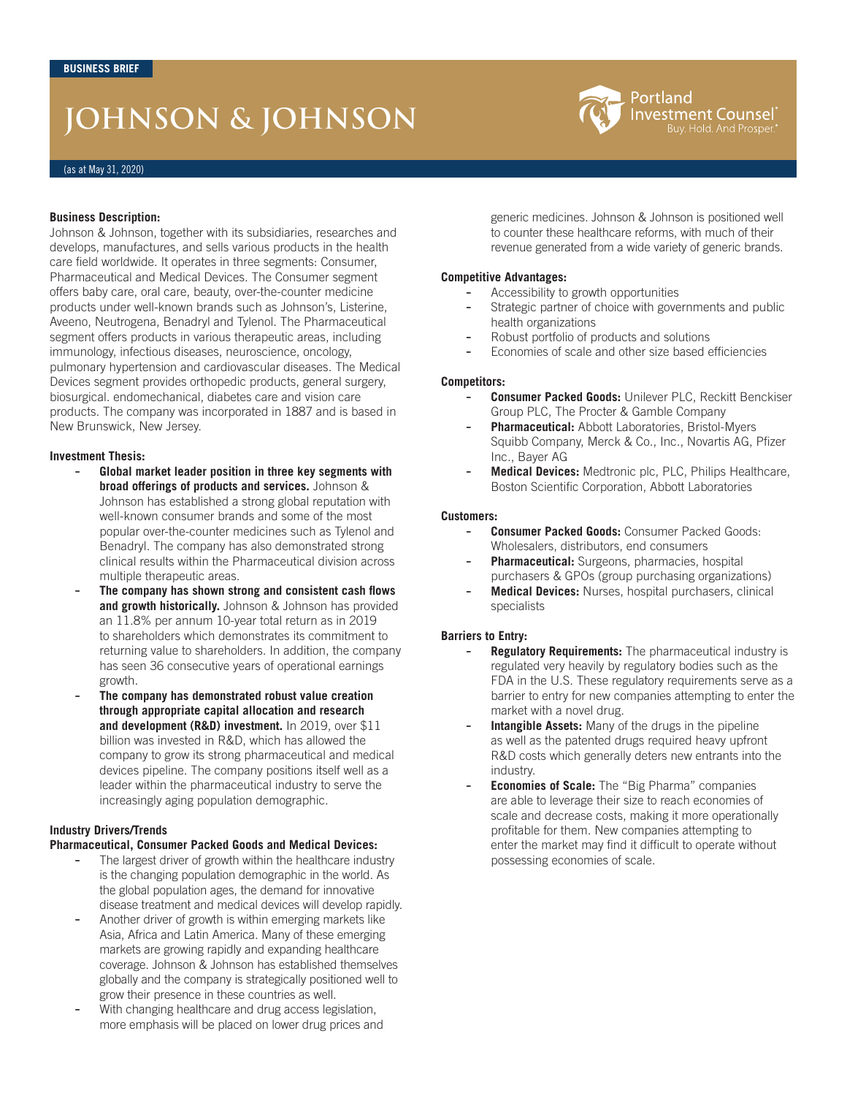# **JOHNSON & JOHNSON**



### **Business Description:**

Johnson & Johnson, together with its subsidiaries, researches and develops, manufactures, and sells various products in the health care field worldwide. It operates in three segments: Consumer, Pharmaceutical and Medical Devices. The Consumer segment offers baby care, oral care, beauty, over-the-counter medicine products under well-known brands such as Johnson's, Listerine, Aveeno, Neutrogena, Benadryl and Tylenol. The Pharmaceutical segment offers products in various therapeutic areas, including immunology, infectious diseases, neuroscience, oncology, pulmonary hypertension and cardiovascular diseases. The Medical Devices segment provides orthopedic products, general surgery, biosurgical. endomechanical, diabetes care and vision care products. The company was incorporated in 1887 and is based in New Brunswick, New Jersey.

### **Investment Thesis:**

- **Global market leader position in three key segments with broad offerings of products and services.** Johnson & Johnson has established a strong global reputation with well-known consumer brands and some of the most popular over-the-counter medicines such as Tylenol and Benadryl. The company has also demonstrated strong clinical results within the Pharmaceutical division across multiple therapeutic areas.
- **The company has shown strong and consistent cash flows and growth historically.** Johnson & Johnson has provided an 11.8% per annum 10-year total return as in 2019 to shareholders which demonstrates its commitment to returning value to shareholders. In addition, the company has seen 36 consecutive years of operational earnings growth.
- **The company has demonstrated robust value creation through appropriate capital allocation and research and development (R&D) investment.** In 2019, over \$11 billion was invested in R&D, which has allowed the company to grow its strong pharmaceutical and medical devices pipeline. The company positions itself well as a leader within the pharmaceutical industry to serve the increasingly aging population demographic.

# **Industry Drivers/Trends**

# **Pharmaceutical, Consumer Packed Goods and Medical Devices:**

- The largest driver of growth within the healthcare industry is the changing population demographic in the world. As the global population ages, the demand for innovative disease treatment and medical devices will develop rapidly.
- Another driver of growth is within emerging markets like Asia, Africa and Latin America. Many of these emerging markets are growing rapidly and expanding healthcare coverage. Johnson & Johnson has established themselves globally and the company is strategically positioned well to grow their presence in these countries as well.
- With changing healthcare and drug access legislation, more emphasis will be placed on lower drug prices and

generic medicines. Johnson & Johnson is positioned well to counter these healthcare reforms, with much of their revenue generated from a wide variety of generic brands.

# **Competitive Advantages:**

- Accessibility to growth opportunities
- Strategic partner of choice with governments and public health organizations
- Robust portfolio of products and solutions
- Economies of scale and other size based efficiencies

### **Competitors:**

- **Consumer Packed Goods:** Unilever PLC, Reckitt Benckiser Group PLC, The Procter & Gamble Company
- **Pharmaceutical:** Abbott Laboratories, Bristol-Myers Squibb Company, Merck & Co., Inc., Novartis AG, Pfizer Inc., Bayer AG
- Medical Devices: Medtronic plc, PLC, Philips Healthcare, Boston Scientific Corporation, Abbott Laboratories

# **Customers:**

- **Consumer Packed Goods:** Consumer Packed Goods: Wholesalers, distributors, end consumers
- Pharmaceutical: Surgeons, pharmacies, hospital purchasers & GPOs (group purchasing organizations)
- **Medical Devices:** Nurses, hospital purchasers, clinical specialists

# **Barriers to Entry:**

- **Regulatory Requirements:** The pharmaceutical industry is regulated very heavily by regulatory bodies such as the FDA in the U.S. These regulatory requirements serve as a barrier to entry for new companies attempting to enter the market with a novel drug.
- **Intangible Assets:** Many of the drugs in the pipeline as well as the patented drugs required heavy upfront R&D costs which generally deters new entrants into the industry.
- **Economies of Scale:** The "Big Pharma" companies are able to leverage their size to reach economies of scale and decrease costs, making it more operationally profitable for them. New companies attempting to enter the market may find it difficult to operate without possessing economies of scale.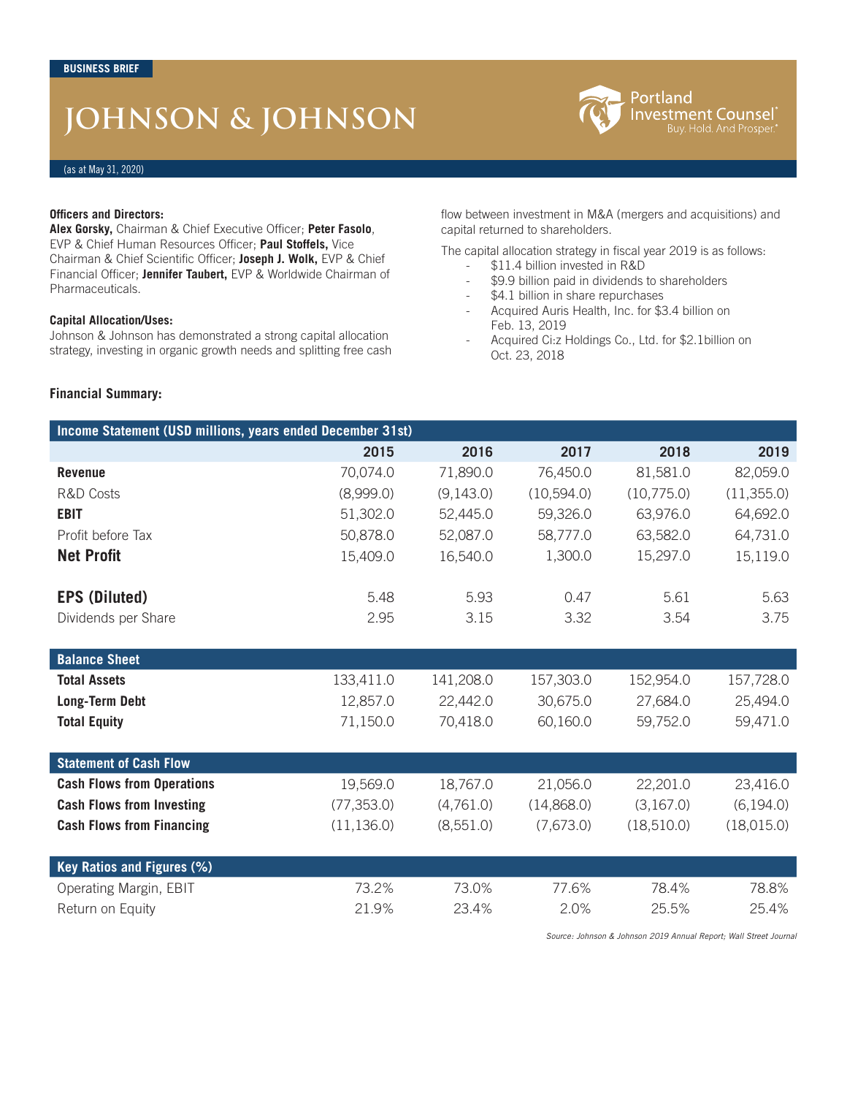# **JOHNSON & JOHNSON**



# (as at May 31, 2020)

#### **Officers and Directors:**

**Alex Gorsky,** Chairman & Chief Executive Officer; **Peter Fasolo**, EVP & Chief Human Resources Officer; **Paul Stoffels,** Vice Chairman & Chief Scientific Officer; **Joseph J. Wolk,** EVP & Chief Financial Officer; **Jennifer Taubert,** EVP & Worldwide Chairman of Pharmaceuticals.

## **Capital Allocation/Uses:**

Johnson & Johnson has demonstrated a strong capital allocation strategy, investing in organic growth needs and splitting free cash

## **Financial Summary:**

flow between investment in M&A (mergers and acquisitions) and capital returned to shareholders.

The capital allocation strategy in fiscal year 2019 is as follows:

- \$11.4 billion invested in R&D
	- \$9.9 billion paid in dividends to shareholders
- \$4.1 billion in share repurchases
- Acquired Auris Health, Inc. for \$3.4 billion on Feb. 13, 2019
- Acquired Ci:z Holdings Co., Ltd. for \$2.1billion on Oct. 23, 2018

| Income Statement (USD millions, years ended December 31st) |             |           |            |             |            |
|------------------------------------------------------------|-------------|-----------|------------|-------------|------------|
|                                                            | 2015        | 2016      | 2017       | 2018        | 2019       |
| <b>Revenue</b>                                             | 70,074.0    | 71,890.0  | 76,450.0   | 81,581.0    | 82,059.0   |
| <b>R&amp;D Costs</b>                                       | (8,999.0)   | (9,143.0) | (10,594.0) | (10,775.0)  | (11,355.0) |
| <b>EBIT</b>                                                | 51,302.0    | 52,445.0  | 59,326.0   | 63,976.0    | 64,692.0   |
| Profit before Tax                                          | 50,878.0    | 52,087.0  | 58,777.0   | 63,582.0    | 64,731.0   |
| <b>Net Profit</b>                                          | 15,409.0    | 16,540.0  | 1,300.0    | 15,297.0    | 15,119.0   |
| <b>EPS (Diluted)</b>                                       | 5.48        | 5.93      | 0.47       | 5.61        | 5.63       |
| Dividends per Share                                        | 2.95        | 3.15      | 3.32       | 3.54        | 3.75       |
| <b>Balance Sheet</b>                                       |             |           |            |             |            |
| <b>Total Assets</b>                                        | 133,411.0   | 141,208.0 | 157,303.0  | 152,954.0   | 157,728.0  |
| <b>Long-Term Debt</b>                                      | 12,857.0    | 22,442.0  | 30,675.0   | 27,684.0    | 25,494.0   |
| <b>Total Equity</b>                                        | 71,150.0    | 70,418.0  | 60,160.0   | 59,752.0    | 59,471.0   |
|                                                            |             |           |            |             |            |
| <b>Statement of Cash Flow</b>                              |             |           |            |             |            |
| <b>Cash Flows from Operations</b>                          | 19,569.0    | 18,767.0  | 21,056.0   | 22,201.0    | 23,416.0   |
| <b>Cash Flows from Investing</b>                           | (77, 353.0) | (4,761.0) | (14,868.0) | (3,167.0)   | (6, 194.0) |
| <b>Cash Flows from Financing</b>                           | (11, 136.0) | (8,551.0) | (7,673.0)  | (18, 510.0) | (18,015.0) |
| Key Ratios and Figures (%)                                 |             |           |            |             |            |
| Operating Margin, EBIT                                     | 73.2%       | 73.0%     | 77.6%      | 78.4%       | 78.8%      |
| Return on Equity                                           | 21.9%       | 23.4%     | 2.0%       | 25.5%       | 25.4%      |

*Source: Johnson & Johnson 2019 Annual Report; Wall Street Journal*